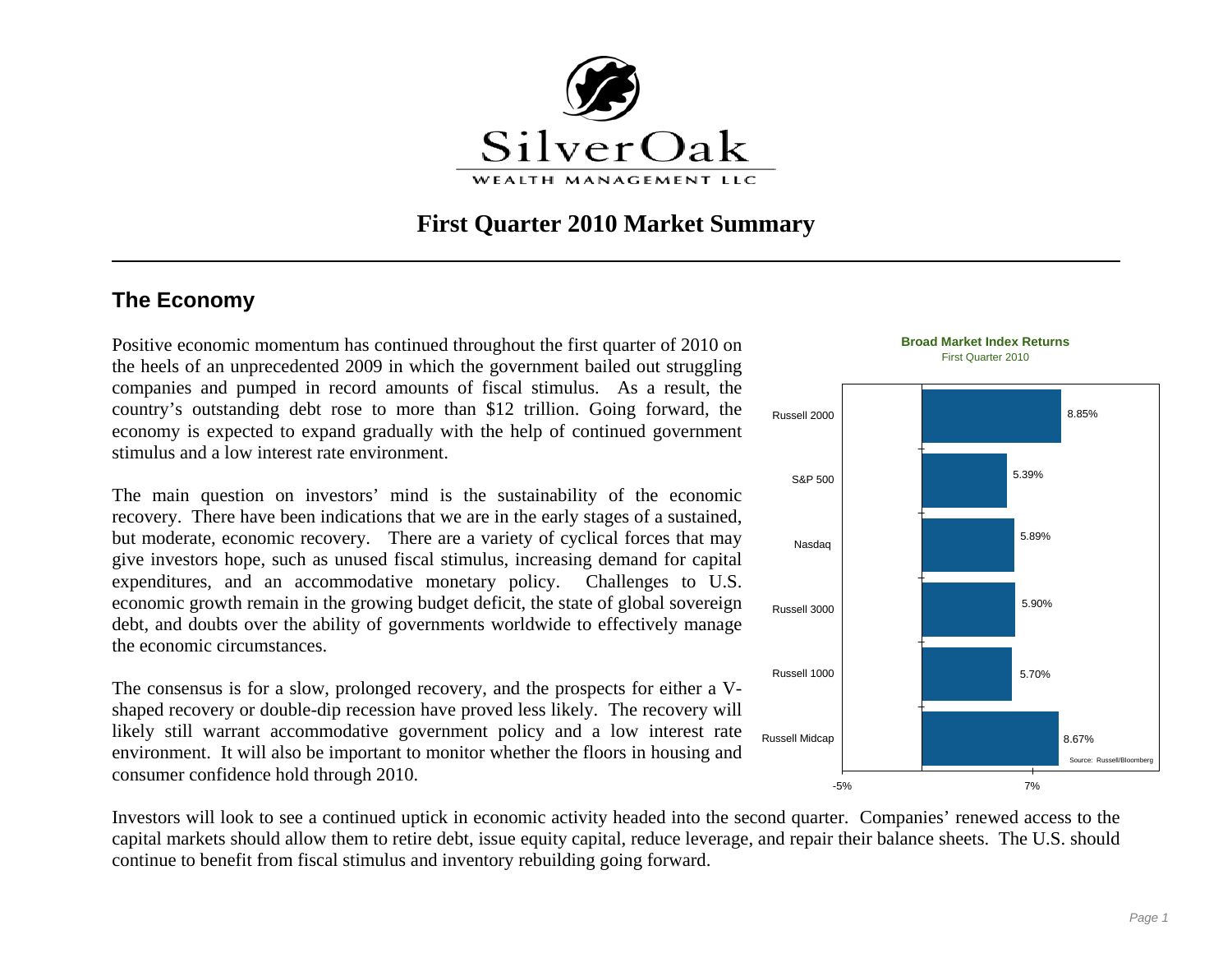

# **First Quarter 2010 Market Summary**

## **The Economy**

Positive economic momentum has continued throughout the first quarter of 2010 on the heels of an unprecedented 2009 in which the government bailed out struggling companies and pumped in record amounts of fiscal stimulus. As a result, the country's outstanding debt rose to more than \$12 trillion. Going forward, the economy is expected to expand gradually with the help of continued government stimulus and a low interest rate environment.

The main question on investors' mind is the sustainability of the economic recovery. There have been indications that we are in the early stages of a sustained, but moderate, economic recovery. There are a variety of cyclical forces that may give investors hope, such as unused fiscal stimulus, increasing demand for capital expenditures, and an accommodative monetary policy. Challenges to U.S. economic growth remain in the growing budget deficit, the state of global sovereign debt, and doubts over the ability of governments worldwide to effectively manage the economic circumstances.

The consensus is for a slow, prolonged recovery, and the prospects for either a Vshaped recovery or double-dip recession have proved less likely. The recovery will likely still warrant accommodative government policy and a low interest rate environment. It will also be important to monitor whether the floors in housing and consumer confidence hold through 2010.

Investors will look to see a continued uptick in economic activity headed into the second quarter. Companies' renewed access to the capital markets should allow them to retire debt, issue equity capital, reduce leverage, and repair their balance sheets. The U.S. should continue to benefit from fiscal stimulus and inventory rebuilding going forward.

#### **Broad Market Index Returns**First Quarter 2010

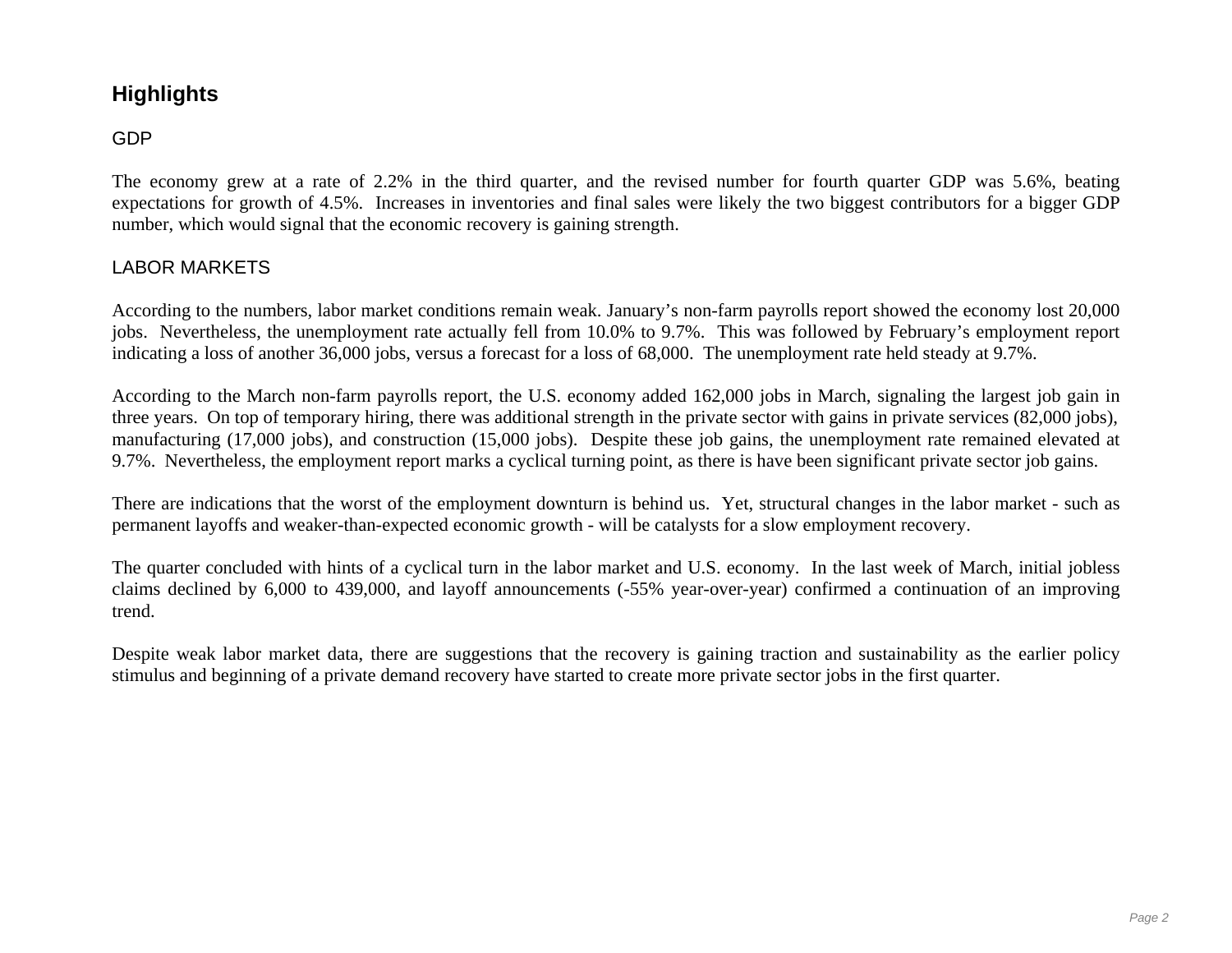# **Highlights**

#### GDP

The economy grew at a rate of 2.2% in the third quarter, and the revised number for fourth quarter GDP was 5.6%, beating expectations for growth of 4.5%. Increases in inventories and final sales were likely the two biggest contributors for a bigger GDP number, which would signal that the economic recovery is gaining strength.

#### LABOR MARKETS

According to the numbers, labor market conditions remain weak. January's non-farm payrolls report showed the economy lost 20,000 jobs. Nevertheless, the unemployment rate actually fell from 10.0% to 9.7%. This was followed by February's employment report indicating a loss of another 36,000 jobs, versus a forecast for a loss of 68,000. The unemployment rate held steady at 9.7%.

According to the March non-farm payrolls report, the U.S. economy added 162,000 jobs in March, signaling the largest job gain in three years. On top of temporary hiring, there was additional strength in the private sector with gains in private services (82,000 jobs), manufacturing (17,000 jobs), and construction (15,000 jobs). Despite these job gains, the unemployment rate remained elevated at 9.7%. Nevertheless, the employment report marks a cyclical turning point, as there is have been significant private sector job gains.

There are indications that the worst of the employment downturn is behind us. Yet, structural changes in the labor market - such as permanent layoffs and weaker-than-expected economic growth - will be catalysts for a slow employment recovery.

The quarter concluded with hints of a cyclical turn in the labor market and U.S. economy. In the last week of March, initial jobless claims declined by 6,000 to 439,000, and layoff announcements (-55% year-over-year) confirmed a continuation of an improving trend.

Despite weak labor market data, there are suggestions that the recovery is gaining traction and sustainability as the earlier policy stimulus and beginning of a private demand recovery have started to create more private sector jobs in the first quarter.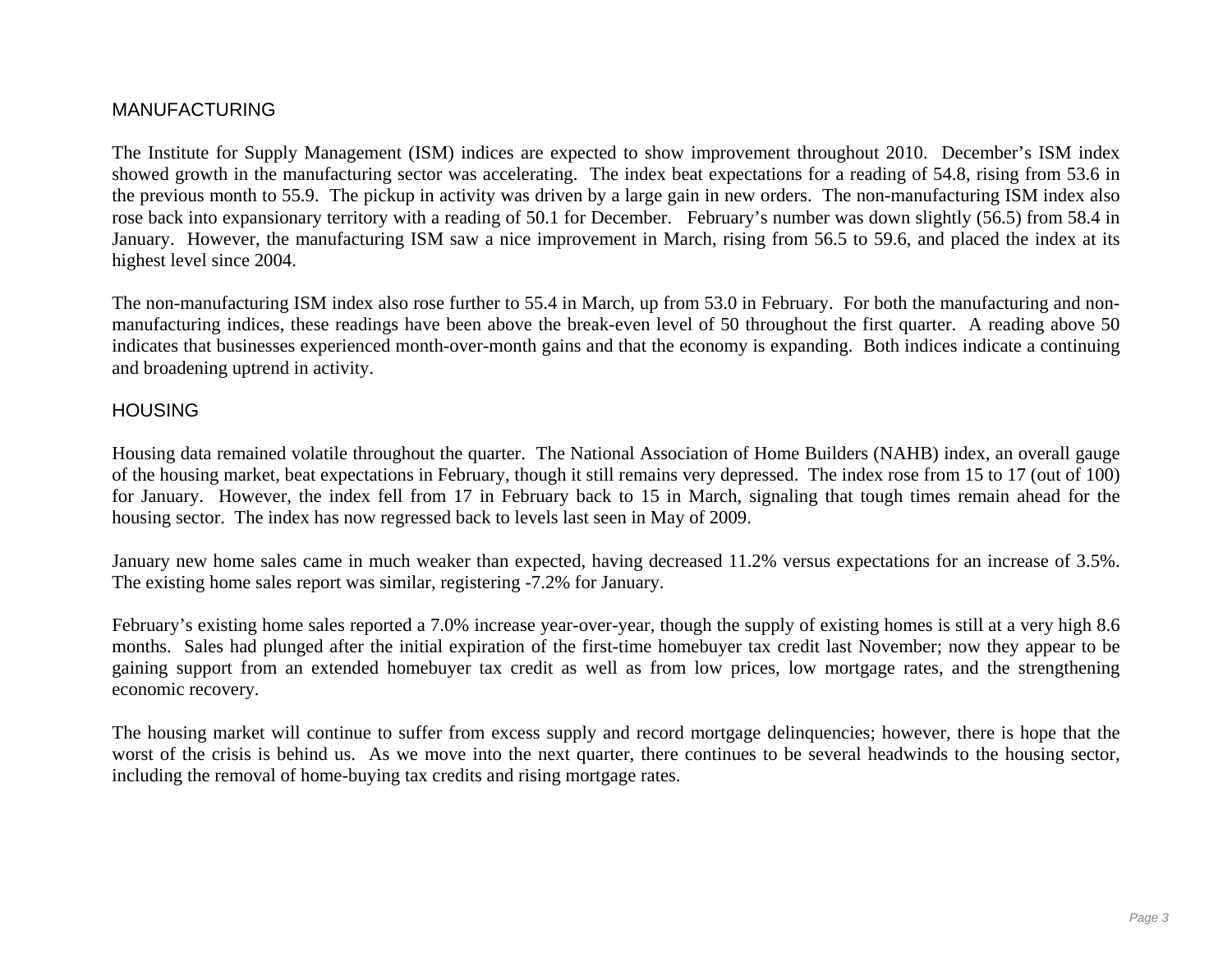#### MANUFACTURING

The Institute for Supply Management (ISM) indices are expected to show improvement throughout 2010. December's ISM index showed growth in the manufacturing sector was accelerating. The index beat expectations for a reading of 54.8, rising from 53.6 in the previous month to 55.9. The pickup in activity was driven by a large gain in new orders. The non-manufacturing ISM index also rose back into expansionary territory with a reading of 50.1 for December. February's number was down slightly (56.5) from 58.4 in January. However, the manufacturing ISM saw a nice improvement in March, rising from 56.5 to 59.6, and placed the index at its highest level since 2004.

The non-manufacturing ISM index also rose further to 55.4 in March, up from 53.0 in February. For both the manufacturing and nonmanufacturing indices, these readings have been above the break-even level of 50 throughout the first quarter. A reading above 50 indicates that businesses experienced month-over-month gains and that the economy is expanding. Both indices indicate a continuing and broadening uptrend in activity.

#### **HOUSING**

Housing data remained volatile throughout the quarter. The National Association of Home Builders (NAHB) index, an overall gauge of the housing market, beat expectations in February, though it still remains very depressed. The index rose from 15 to 17 (out of 100) for January. However, the index fell from 17 in February back to 15 in March, signaling that tough times remain ahead for the housing sector. The index has now regressed back to levels last seen in May of 2009.

January new home sales came in much weaker than expected, having decreased 11.2% versus expectations for an increase of 3.5%. The existing home sales report was similar, registering -7.2% for January.

February's existing home sales reported a 7.0% increase year-over-year, though the supply of existing homes is still at a very high 8.6 months. Sales had plunged after the initial expiration of the first-time homebuyer tax credit last November; now they appear to be gaining support from an extended homebuyer tax credit as well as from low prices, low mortgage rates, and the strengthening economic recovery.

The housing market will continue to suffer from excess supply and record mortgage delinquencies; however, there is hope that the worst of the crisis is behind us. As we move into the next quarter, there continues to be several headwinds to the housing sector, including the removal of home-buying tax credits and rising mortgage rates.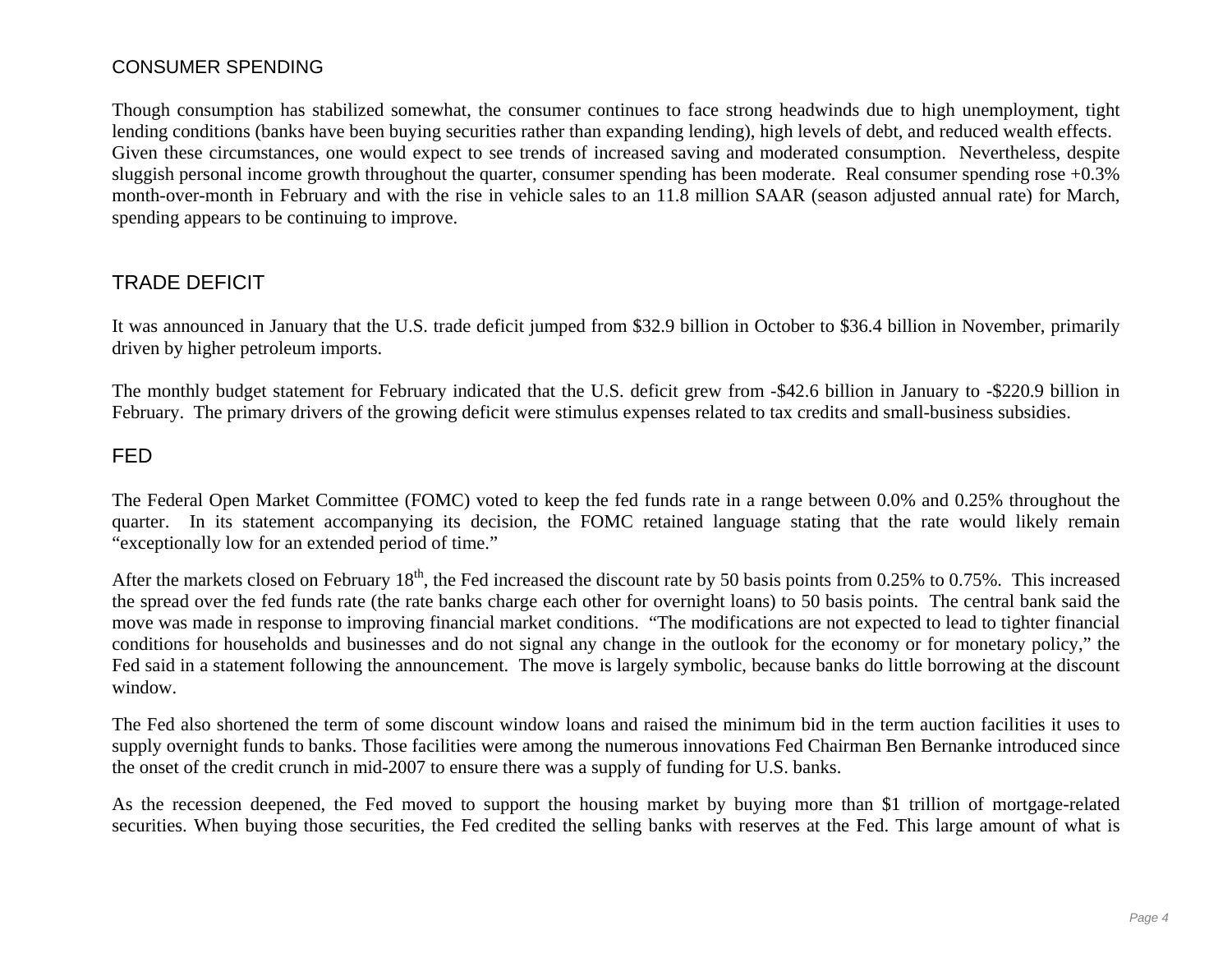#### CONSUMER SPENDING

Though consumption has stabilized somewhat, the consumer continues to face strong headwinds due to high unemployment, tight lending conditions (banks have been buying securities rather than expanding lending), high levels of debt, and reduced wealth effects. Given these circumstances, one would expect to see trends of increased saving and moderated consumption. Nevertheless, despite sluggish personal income growth throughout the quarter, consumer spending has been moderate. Real consumer spending rose +0.3% month-over-month in February and with the rise in vehicle sales to an 11.8 million SAAR (season adjusted annual rate) for March, spending appears to be continuing to improve.

#### TRADE DEFICIT

It was announced in January that the U.S. trade deficit jumped from \$32.9 billion in October to \$36.4 billion in November, primarily driven by higher petroleum imports.

The monthly budget statement for February indicated that the U.S. deficit grew from -\$42.6 billion in January to -\$220.9 billion in February. The primary drivers of the growing deficit were stimulus expenses related to tax credits and small-business subsidies.

#### FED

The Federal Open Market Committee (FOMC) voted to keep the fed funds rate in a range between 0.0% and 0.25% throughout the quarter. In its statement accompanying its decision, the FOMC retained language stating that the rate would likely remain "exceptionally low for an extended period of time."

After the markets closed on February  $18<sup>th</sup>$ , the Fed increased the discount rate by 50 basis points from 0.25% to 0.75%. This increased the spread over the fed funds rate (the rate banks charge each other for overnight loans) to 50 basis points. The central bank said the move was made in response to improving financial market conditions. "The modifications are not expected to lead to tighter financial conditions for households and businesses and do not signal any change in the outlook for the economy or for monetary policy," the Fed said in a statement following the announcement. The move is largely symbolic, because banks do little borrowing at the discount window.

The Fed also shortened the term of some discount window loans and raised the minimum bid in the term auction facilities it uses to supply overnight funds to banks. Those facilities were among the numerous innovations Fed Chairman Ben Bernanke introduced since the onset of the credit crunch in mid-2007 to ensure there was a supply of funding for U.S. banks.

As the recession deepened, the Fed moved to support the housing market by buying more than \$1 trillion of mortgage-related securities. When buying those securities, the Fed credited the selling banks with reserves at the Fed. This large amount of what is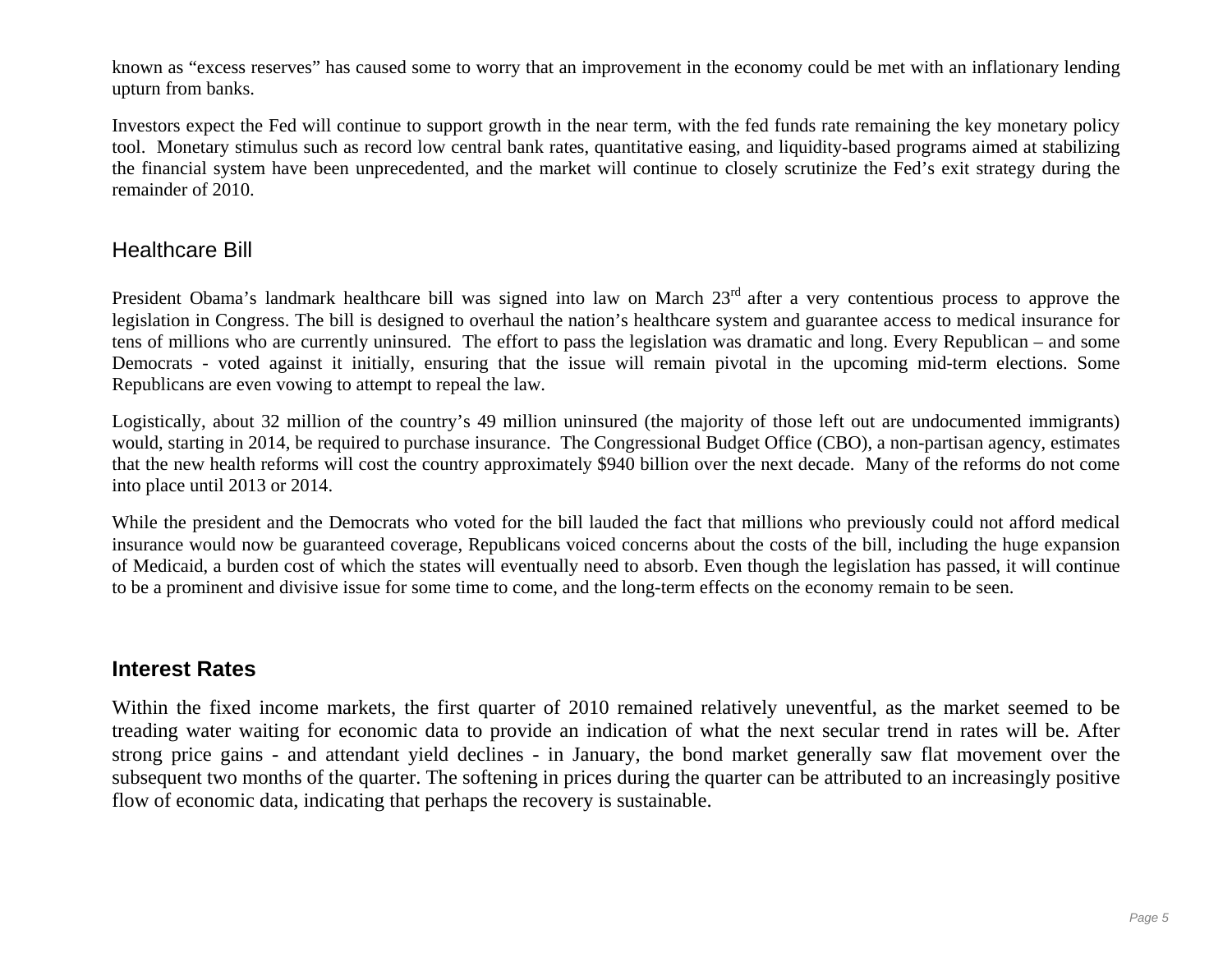known as "excess reserves" has caused some to worry that an improvement in the economy could be met with an inflationary lending upturn from banks.

Investors expect the Fed will continue to support growth in the near term, with the fed funds rate remaining the key monetary policy tool. Monetary stimulus such as record low central bank rates, quantitative easing, and liquidity-based programs aimed at stabilizing the financial system have been unprecedented, and the market will continue to closely scrutinize the Fed's exit strategy during the remainder of 2010.

### Healthcare Bill

President Obama's landmark healthcare bill was signed into law on March 23<sup>rd</sup> after a very contentious process to approve the legislation in Congress. The bill is designed to overhaul the nation's healthcare system and guarantee access to medical insurance for tens of millions who are currently uninsured. The effort to pass the legislation was dramatic and long. Every Republican – and some Democrats - voted against it initially, ensuring that the issue will remain pivotal in the upcoming mid-term elections. Some Republicans are even vowing to attempt to repeal the law.

Logistically, about 32 million of the country's 49 million uninsured (the majority of those left out are undocumented immigrants) would, starting in 2014, be required to purchase insurance. The Congressional Budget Office (CBO), a non-partisan agency, estimates that the new health reforms will cost the country approximately \$940 billion over the next decade. Many of the reforms do not come into place until 2013 or 2014.

While the president and the Democrats who voted for the bill lauded the fact that millions who previously could not afford medical insurance would now be guaranteed coverage, Republicans voiced concerns about the costs of the bill, including the huge expansion of Medicaid, a burden cost of which the states will eventually need to absorb. Even though the legislation has passed, it will continue to be a prominent and divisive issue for some time to come, and the long-term effects on the economy remain to be seen.

#### **Interest Rates**

Within the fixed income markets, the first quarter of 2010 remained relatively uneventful, as the market seemed to be treading water waiting for economic data to provide an indication of what the next secular trend in rates will be. After strong price gains - and attendant yield declines - in January, the bond market generally saw flat movement over the subsequent two months of the quarter. The softening in prices during the quarter can be attributed to an increasingly positive flow of economic data, indicating that perhaps the recovery is sustainable.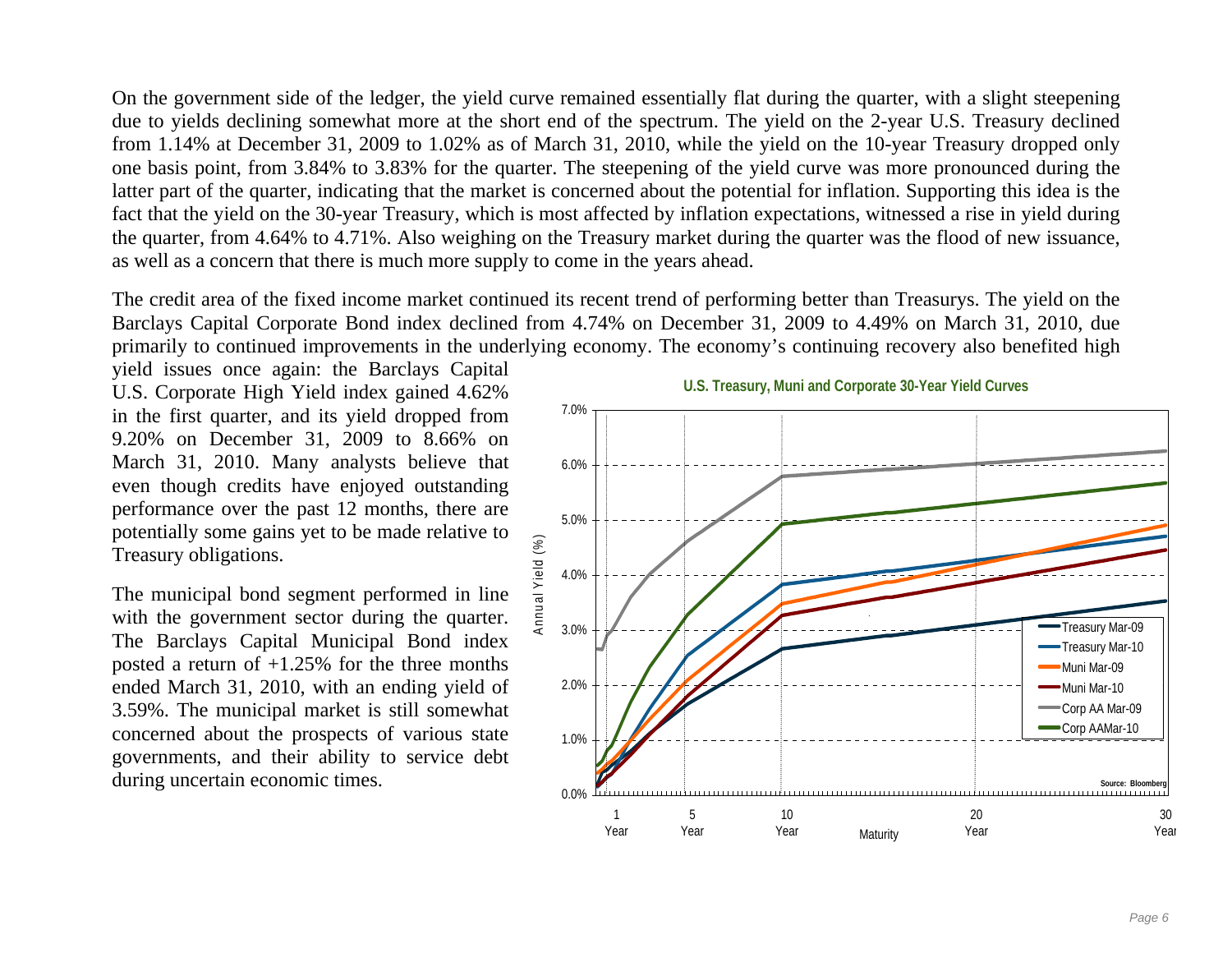On the government side of the ledger, the yield curve remained essentially flat during the quarter, with a slight steepening due to yields declining somewhat more at the short end of the spectrum. The yield on the 2-year U.S. Treasury declined from 1.14% at December 31, 2009 to 1.02% as of March 31, 2010, while the yield on the 10-year Treasury dropped only one basis point, from 3.84% to 3.83% for the quarter. The steepening of the yield curve was more pronounced during the latter part of the quarter, indicating that the market is concerned about the potential for inflation. Supporting this idea is the fact that the yield on the 30-year Treasury, which is most affected by inflation expectations, witnessed a rise in yield during the quarter, from 4.64% to 4.71%. Also weighing on the Treasury market during the quarter was the flood of new issuance, as well as a concern that there is much more supply to come in the years ahead.

The credit area of the fixed income market continued its recent trend of performing better than Treasurys. The yield on the Barclays Capital Corporate Bond index declined from 4.74% on December 31, 2009 to 4.49% on March 31, 2010, due primarily to continued improvements in the underlying economy. The economy's continuing recovery also benefited high

yield issues once again: the Barclays Capital U.S. Corporate High Yield index gained 4.62% in the first quarter, and its yield dropped from 9.20% on December 31, 2009 to 8.66% on March 31, 2010. Many analysts believe that even though credits have enjoyed outstanding performance over the past 12 months, there are potentially some gains yet to be made relative to Treasury obligations.

The municipal bond segment performed in line with the government sector during the quarter. The Barclays Capital Municipal Bond index posted a return of  $+1.25\%$  for the three months ended March 31, 2010, with an ending yield of 3.59%. The municipal market is still somewhat concerned about the prospects of various state governments, and their ability to service debt during uncertain economic times.

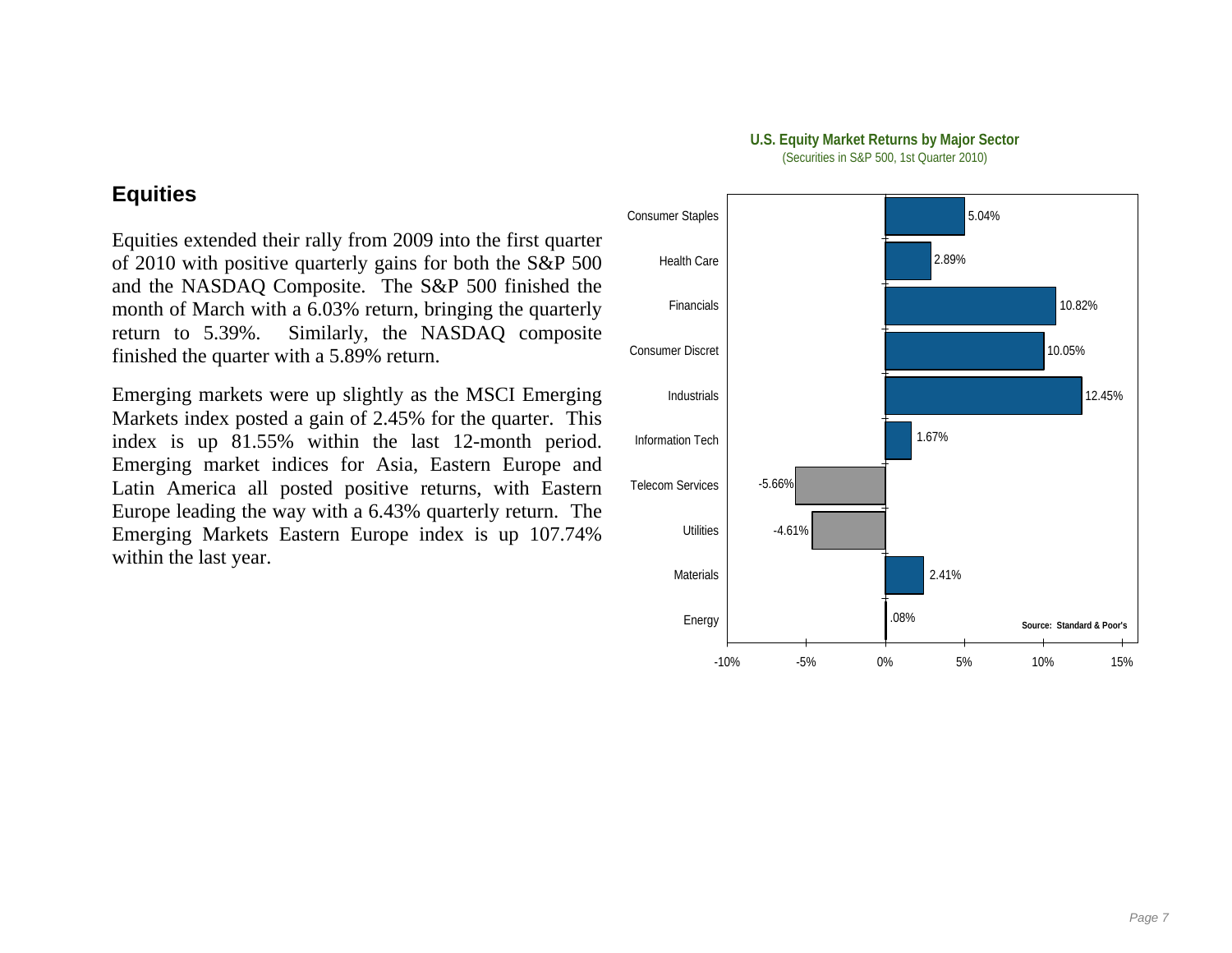

### **Equities**

Equities extended their rally from 2009 into the first quarter of 2010 with positive quarterly gains for both the S&P 500 and the NASDAQ Composite. The S&P 500 finished the month of March with a 6.03% return, bringing the quarterly return to 5.39%. Similarly, the NASDAQ composite finished the quarter with a 5.89% return.

Emerging markets were up slightly as the MSCI Emerging Markets index posted a gain of 2.45% for the quarter. This index is up 81.55% within the last 12-month period. Emerging market indices for Asia, Eastern Europe and Latin America all posted positive returns, with Eastern Europe leading the way with a 6.43% quarterly return. The Emerging Markets Eastern Europe index is up 107.74% within the last year.

#### **U.S. Equity Market Returns by Major Sector**  (Securities in S&P 500, 1st Quarter 2010)